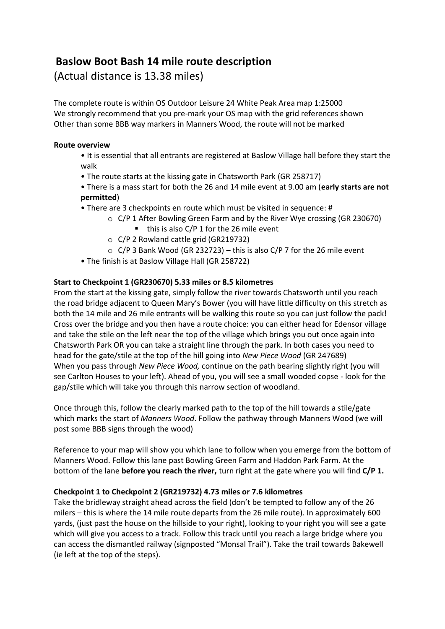# **Baslow Boot Bash 14 mile route description**

# (Actual distance is 13.38 miles)

The complete route is within OS Outdoor Leisure 24 White Peak Area map 1:25000 We strongly recommend that you pre-mark your OS map with the grid references shown Other than some BBB way markers in Manners Wood, the route will not be marked

## **Route overview**

• It is essential that all entrants are registered at Baslow Village hall before they start the walk

• The route starts at the kissing gate in Chatsworth Park (GR 258717)

• There is a mass start for both the 26 and 14 mile event at 9.00 am (**early starts are not permitted**)

- There are 3 checkpoints en route which must be visited in sequence: #
	- o C/P 1 After Bowling Green Farm and by the River Wye crossing (GR 230670)
		- $\blacksquare$  this is also C/P 1 for the 26 mile event
	- o C/P 2 Rowland cattle grid (GR219732)
	- $\circ$  C/P 3 Bank Wood (GR 232723) this is also C/P 7 for the 26 mile event
- The finish is at Baslow Village Hall (GR 258722)

## **Start to Checkpoint 1 (GR230670) 5.33 miles or 8.5 kilometres**

From the start at the kissing gate, simply follow the river towards Chatsworth until you reach the road bridge adjacent to Queen Mary's Bower (you will have little difficulty on this stretch as both the 14 mile and 26 mile entrants will be walking this route so you can just follow the pack! Cross over the bridge and you then have a route choice: you can either head for Edensor village and take the stile on the left near the top of the village which brings you out once again into Chatsworth Park OR you can take a straight line through the park. In both cases you need to head for the gate/stile at the top of the hill going into *New Piece Wood* (GR 247689) When you pass through *New Piece Wood,* continue on the path bearing slightly right (you will see Carlton Houses to your left). Ahead of you, you will see a small wooded copse - look for the gap/stile which will take you through this narrow section of woodland.

Once through this, follow the clearly marked path to the top of the hill towards a stile/gate which marks the start of *Manners Wood*. Follow the pathway through Manners Wood (we will post some BBB signs through the wood)

Reference to your map will show you which lane to follow when you emerge from the bottom of Manners Wood. Follow this lane past Bowling Green Farm and Haddon Park Farm. At the bottom of the lane **before you reach the river,** turn right at the gate where you will find **C/P 1.** 

#### **Checkpoint 1 to Checkpoint 2 (GR219732) 4.73 miles or 7.6 kilometres**

Take the bridleway straight ahead across the field (don't be tempted to follow any of the 26 milers – this is where the 14 mile route departs from the 26 mile route). In approximately 600 yards, (just past the house on the hillside to your right), looking to your right you will see a gate which will give you access to a track. Follow this track until you reach a large bridge where you can access the dismantled railway (signposted "Monsal Trail"). Take the trail towards Bakewell (ie left at the top of the steps).